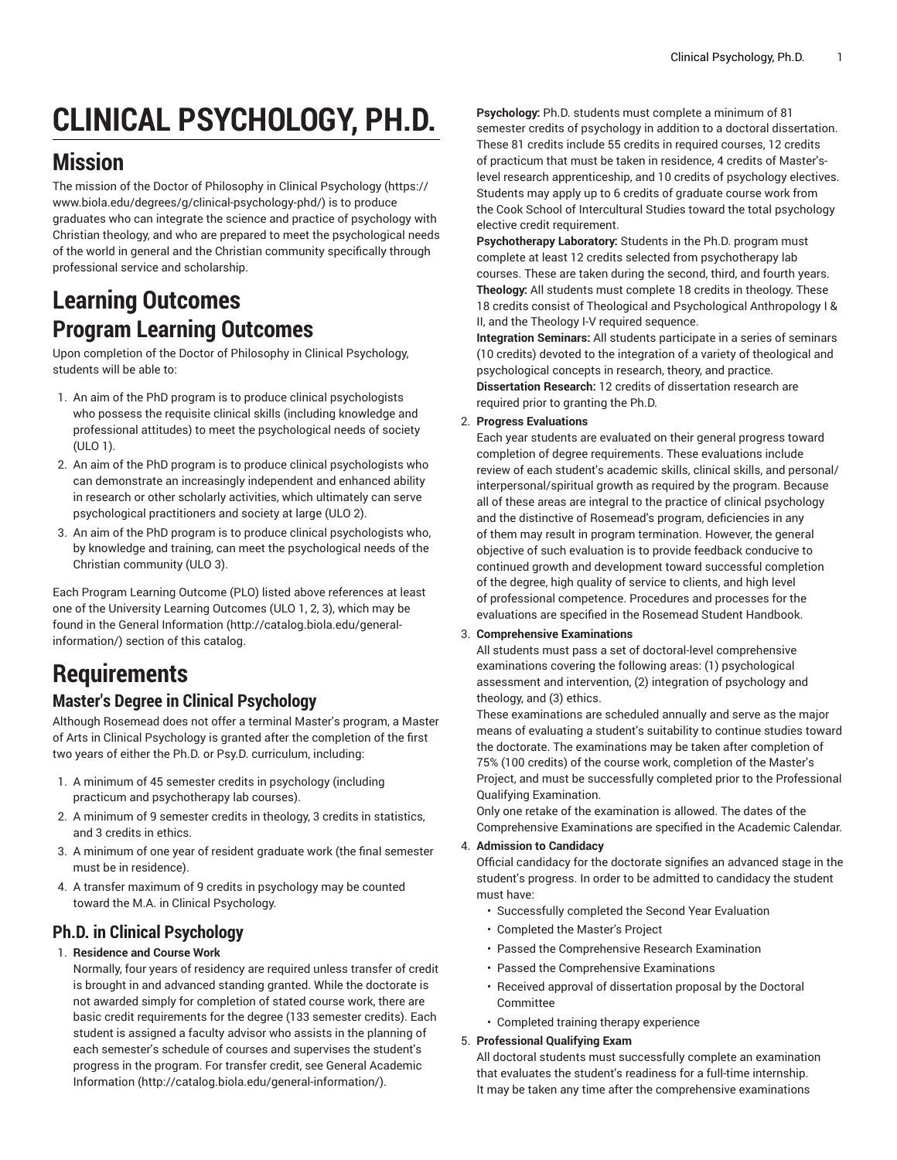# **CLINICAL PSYCHOLOGY, PH.D.**

## **Mission**

The mission of the Doctor of Philosophy in Clinical [Psychology \(https://](https://www.biola.edu/degrees/g/clinical-psychology-phd/) [www.biola.edu/degrees/g/clinical-psychology-phd/\)](https://www.biola.edu/degrees/g/clinical-psychology-phd/) is to produce graduates who can integrate the science and practice of psychology with Christian theology, and who are prepared to meet the psychological needs of the world in general and the Christian community specifically through professional service and scholarship.

### **Learning Outcomes Program Learning Outcomes**

Upon completion of the Doctor of Philosophy in Clinical Psychology, students will be able to:

- 1. An aim of the PhD program is to produce clinical psychologists who possess the requisite clinical skills (including knowledge and professional attitudes) to meet the psychological needs of society (ULO 1).
- 2. An aim of the PhD program is to produce clinical psychologists who can demonstrate an increasingly independent and enhanced ability in research or other scholarly activities, which ultimately can serve psychological practitioners and society at large (ULO 2).
- 3. An aim of the PhD program is to produce clinical psychologists who, by knowledge and training, can meet the psychological needs of the Christian community (ULO 3).

Each Program Learning Outcome (PLO) listed above references at least one of the University Learning Outcomes (ULO 1, 2, 3), which may be found in the [General Information \(http://catalog.biola.edu/general](http://catalog.biola.edu/general-information/)[information/](http://catalog.biola.edu/general-information/)) section of this catalog.

# **Requirements**

### **Master's Degree in Clinical Psychology**

Although Rosemead does not offer a terminal Master's program, a Master of Arts in Clinical Psychology is granted after the completion of the first two years of either the Ph.D. or Psy.D. curriculum, including:

- 1. A minimum of 45 semester credits in psychology (including practicum and psychotherapy lab courses).
- 2. A minimum of 9 semester credits in theology, 3 credits in statistics, and 3 credits in ethics.
- 3. A minimum of one year of resident graduate work (the final semester must be in residence).
- 4. A transfer maximum of 9 credits in psychology may be counted toward the M.A. in Clinical Psychology.

### **Ph.D. in Clinical Psychology**

#### 1. **Residence and Course Work**

Normally, four years of residency are required unless transfer of credit is brought in and advanced standing granted. While the doctorate is not awarded simply for completion of stated course work, there are basic credit requirements for the degree (133 semester credits). Each student is assigned a faculty advisor who assists in the planning of each semester's schedule of courses and supervises the student's progress in the program. For transfer credit, see [General Academic](http://catalog.biola.edu/general-information/) [Information](http://catalog.biola.edu/general-information/) (<http://catalog.biola.edu/general-information/>).

**Psychology:** Ph.D. students must complete a minimum of 81 semester credits of psychology in addition to a doctoral dissertation. These 81 credits include 55 credits in required courses, 12 credits of practicum that must be taken in residence, 4 credits of Master'slevel research apprenticeship, and 10 credits of psychology electives. Students may apply up to 6 credits of graduate course work from the Cook School of Intercultural Studies toward the total psychology elective credit requirement.

**Psychotherapy Laboratory:** Students in the Ph.D. program must complete at least 12 credits selected from psychotherapy lab courses. These are taken during the second, third, and fourth years. **Theology:** All students must complete 18 credits in theology. These 18 credits consist of Theological and Psychological Anthropology I & II, and the Theology I-V required sequence.

**Integration Seminars:** All students participate in a series of seminars (10 credits) devoted to the integration of a variety of theological and psychological concepts in research, theory, and practice. **Dissertation Research:** 12 credits of dissertation research are required prior to granting the Ph.D.

#### 2. **Progress Evaluations**

Each year students are evaluated on their general progress toward completion of degree requirements. These evaluations include review of each student's academic skills, clinical skills, and personal/ interpersonal/spiritual growth as required by the program. Because all of these areas are integral to the practice of clinical psychology and the distinctive of Rosemead's program, deficiencies in any of them may result in program termination. However, the general objective of such evaluation is to provide feedback conducive to continued growth and development toward successful completion of the degree, high quality of service to clients, and high level of professional competence. Procedures and processes for the evaluations are specified in the Rosemead Student Handbook.

#### 3. **Comprehensive Examinations**

All students must pass a set of doctoral-level comprehensive examinations covering the following areas: (1) psychological assessment and intervention, (2) integration of psychology and theology, and (3) ethics.

These examinations are scheduled annually and serve as the major means of evaluating a student's suitability to continue studies toward the doctorate. The examinations may be taken after completion of 75% (100 credits) of the course work, completion of the Master's Project, and must be successfully completed prior to the Professional Qualifying Examination.

Only one retake of the examination is allowed. The dates of the Comprehensive Examinations are specified in the Academic Calendar.

#### 4. **Admission to Candidacy**

Official candidacy for the doctorate signifies an advanced stage in the student's progress. In order to be admitted to candidacy the student must have:

- Successfully completed the Second Year Evaluation
- Completed the Master's Project
- Passed the Comprehensive Research Examination
- Passed the Comprehensive Examinations
- Received approval of dissertation proposal by the Doctoral Committee
- Completed training therapy experience

#### 5. **Professional Qualifying Exam**

All doctoral students must successfully complete an examination that evaluates the student's readiness for a full-time internship. It may be taken any time after the comprehensive examinations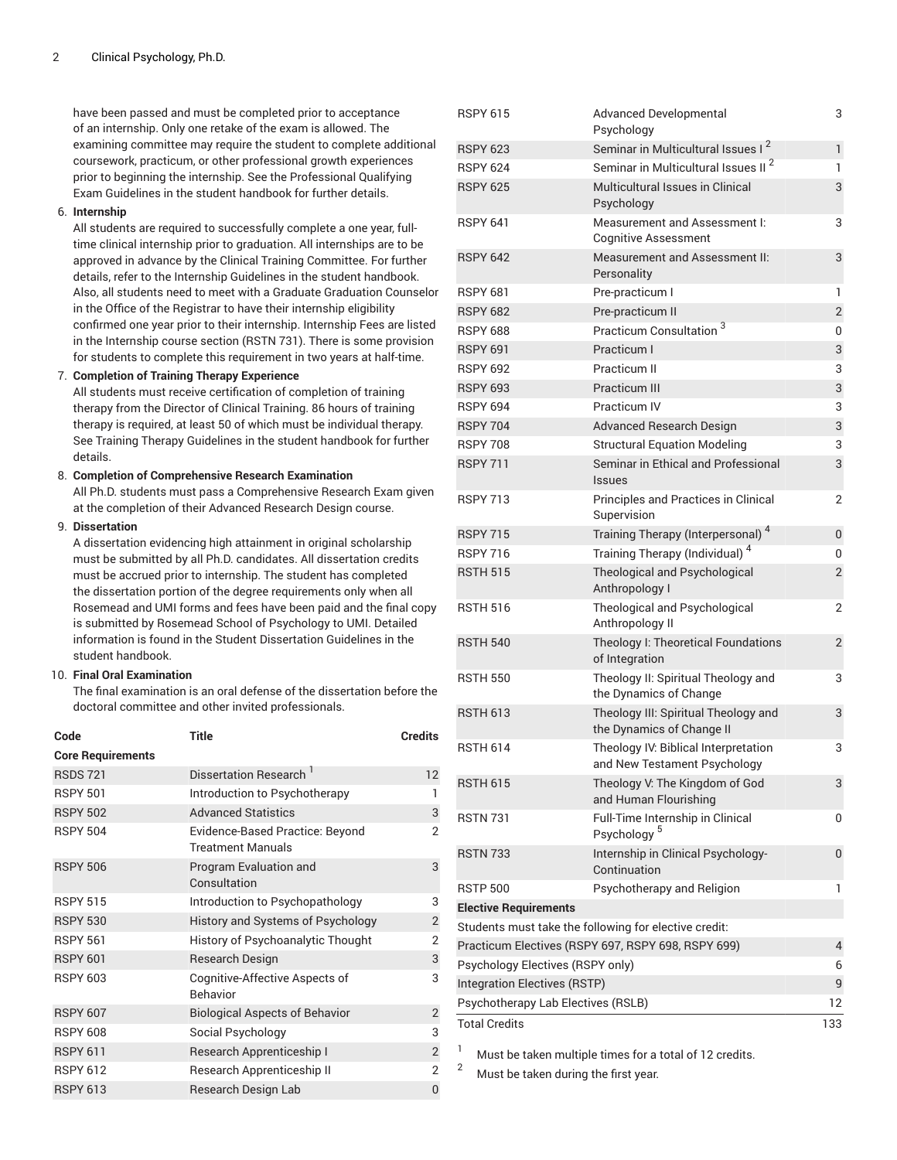have been passed and must be completed prior to acceptance of an internship. Only one retake of the exam is allowed. The examining committee may require the student to complete additional coursework, practicum, or other professional growth experiences prior to beginning the internship. See the Professional Qualifying Exam Guidelines in the student handbook for further details.

#### 6. **Internship**

All students are required to successfully complete a one year, fulltime clinical internship prior to graduation. All internships are to be approved in advance by the Clinical Training Committee. For further details, refer to the Internship Guidelines in the student handbook. Also, all students need to meet with a Graduate Graduation Counselor in the Office of the Registrar to have their internship eligibility confirmed one year prior to their internship. Internship Fees are listed in the Internship course section (RSTN 731). There is some provision for students to complete this requirement in two years at half-time.

#### 7. **Completion of Training Therapy Experience**

All students must receive certification of completion of training therapy from the Director of Clinical Training. 86 hours of training therapy is required, at least 50 of which must be individual therapy. See Training Therapy Guidelines in the student handbook for further details.

#### 8. **Completion of Comprehensive Research Examination**

All Ph.D. students must pass a Comprehensive Research Exam given at the completion of their Advanced Research Design course.

#### 9. **Dissertation**

A dissertation evidencing high attainment in original scholarship must be submitted by all Ph.D. candidates. All dissertation credits must be accrued prior to internship. The student has completed the dissertation portion of the degree requirements only when all Rosemead and UMI forms and fees have been paid and the final copy is submitted by Rosemead School of Psychology to UMI. Detailed information is found in the Student Dissertation Guidelines in the student handbook.

#### 10. **Final Oral Examination**

The final examination is an oral defense of the dissertation before the doctoral committee and other invited professionals.

| Code                     | Title                                                       | <b>Credits</b> |
|--------------------------|-------------------------------------------------------------|----------------|
| <b>Core Requirements</b> |                                                             |                |
| <b>RSDS 721</b>          | Dissertation Research <sup>1</sup>                          | 12             |
| <b>RSPY 501</b>          | Introduction to Psychotherapy                               | 1              |
| <b>RSPY 502</b>          | <b>Advanced Statistics</b>                                  | 3              |
| <b>RSPY 504</b>          | Evidence-Based Practice: Beyond<br><b>Treatment Manuals</b> | $\overline{2}$ |
| <b>RSPY 506</b>          | Program Evaluation and<br>Consultation                      | 3              |
| <b>RSPY 515</b>          | Introduction to Psychopathology                             | 3              |
| <b>RSPY 530</b>          | History and Systems of Psychology                           | $\overline{2}$ |
| <b>RSPY 561</b>          | History of Psychoanalytic Thought                           | $\overline{2}$ |
| <b>RSPY 601</b>          | <b>Research Design</b>                                      | 3              |
| <b>RSPY 603</b>          | Cognitive-Affective Aspects of<br>Behavior                  | 3              |
| <b>RSPY 607</b>          | <b>Biological Aspects of Behavior</b>                       | $\overline{2}$ |
| <b>RSPY 608</b>          | Social Psychology                                           | 3              |
| <b>RSPY 611</b>          | Research Apprenticeship I                                   | $\overline{2}$ |
| <b>RSPY 612</b>          | Research Apprenticeship II                                  | $\overline{2}$ |
| <b>RSPY 613</b>          | Research Design Lab                                         | $\overline{0}$ |
|                          |                                                             |                |

| <b>RSPY 615</b>                                    | <b>Advanced Developmental</b><br>Psychology                          | 3              |
|----------------------------------------------------|----------------------------------------------------------------------|----------------|
| <b>RSPY 623</b>                                    | Seminar in Multicultural Issues I <sup>2</sup>                       | $\mathbf{1}$   |
| <b>RSPY 624</b>                                    | Seminar in Multicultural Issues II <sup>2</sup>                      | 1              |
| <b>RSPY 625</b>                                    | Multicultural Issues in Clinical                                     | 3              |
|                                                    | Psychology                                                           |                |
| <b>RSPY 641</b>                                    | Measurement and Assessment I:                                        | 3              |
|                                                    | <b>Cognitive Assessment</b>                                          |                |
| <b>RSPY 642</b>                                    | Measurement and Assessment II:<br>Personality                        | 3              |
| <b>RSPY 681</b>                                    | Pre-practicum I                                                      | 1              |
| <b>RSPY 682</b>                                    | Pre-practicum II                                                     | $\overline{2}$ |
| <b>RSPY 688</b>                                    | Practicum Consultation <sup>3</sup>                                  | 0              |
| <b>RSPY 691</b>                                    | Practicum I                                                          | 3              |
| <b>RSPY 692</b>                                    | Practicum II                                                         | 3              |
| <b>RSPY 693</b>                                    | <b>Practicum III</b>                                                 | 3              |
| <b>RSPY 694</b>                                    | Practicum IV                                                         | 3              |
| <b>RSPY 704</b>                                    | <b>Advanced Research Design</b>                                      | 3              |
| <b>RSPY 708</b>                                    | <b>Structural Equation Modeling</b>                                  | 3              |
| <b>RSPY 711</b>                                    | Seminar in Ethical and Professional<br><b>Issues</b>                 | 3              |
| <b>RSPY 713</b>                                    | Principles and Practices in Clinical<br>Supervision                  | 2              |
| <b>RSPY 715</b>                                    | Training Therapy (Interpersonal) <sup>4</sup>                        | $\overline{0}$ |
| <b>RSPY 716</b>                                    | Training Therapy (Individual) <sup>4</sup>                           | 0              |
| <b>RSTH 515</b>                                    | Theological and Psychological<br>Anthropology I                      | 2              |
| <b>RSTH 516</b>                                    | Theological and Psychological<br>Anthropology II                     | 2              |
| <b>RSTH 540</b>                                    | Theology I: Theoretical Foundations<br>of Integration                | $\overline{2}$ |
| <b>RSTH 550</b>                                    | Theology II: Spiritual Theology and<br>the Dynamics of Change        | 3              |
| <b>RSTH 613</b>                                    | Theology III: Spiritual Theology and<br>the Dynamics of Change II    | 3              |
| <b>RSTH 614</b>                                    | Theology IV: Biblical Interpretation<br>and New Testament Psychology | 3              |
| <b>RSTH 615</b>                                    | Theology V: The Kingdom of God<br>and Human Flourishing              | 3              |
| <b>RSTN 731</b>                                    | Full-Time Internship in Clinical<br>Psychology <sup>5</sup>          | 0              |
| <b>RSTN 733</b>                                    | Internship in Clinical Psychology-<br>Continuation                   | 0              |
| <b>RSTP 500</b>                                    | Psychotherapy and Religion                                           | 1              |
| <b>Elective Requirements</b>                       |                                                                      |                |
|                                                    | Students must take the following for elective credit:                |                |
| Practicum Electives (RSPY 697, RSPY 698, RSPY 699) |                                                                      | 4              |
| Psychology Electives (RSPY only)                   |                                                                      | 6              |
| Integration Electives (RSTP)                       |                                                                      | 9              |
| Psychotherapy Lab Electives (RSLB)                 |                                                                      | 12             |
| <b>Total Credits</b>                               |                                                                      | 133            |
|                                                    |                                                                      |                |

<sup>1</sup> Must be taken multiple times for a total of 12 credits.

Must be taken during the first year.